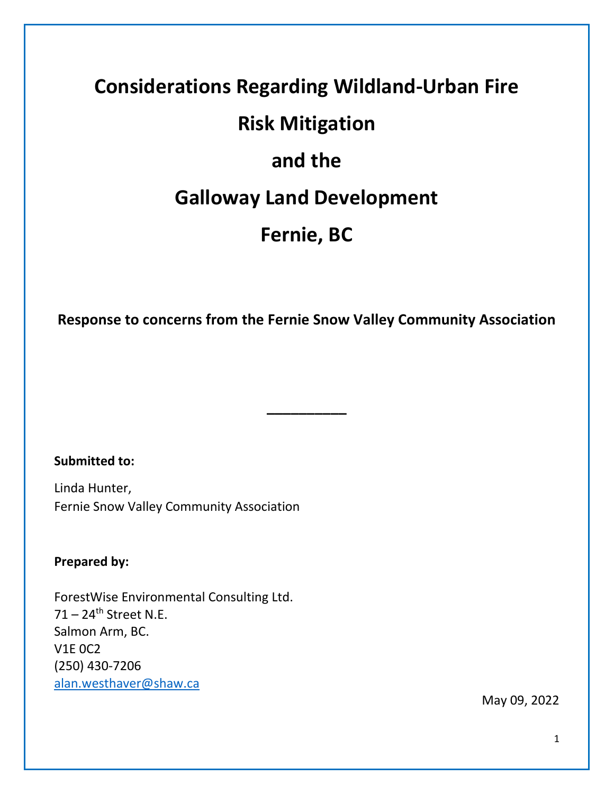# **Considerations Regarding Wildland-Urban Fire Risk Mitigation and the Galloway Land Development Fernie, BC**

**Response to concerns from the Fernie Snow Valley Community Association**

**\_\_\_\_\_\_\_\_\_\_**

**Submitted to:**

Linda Hunter, Fernie Snow Valley Community Association

**Prepared by:**

ForestWise Environmental Consulting Ltd.  $71 - 24$ <sup>th</sup> Street N.E. Salmon Arm, BC. V1E 0C2 (250) 430-7206 [alan.westhaver@shaw.ca](mailto:alan.westhaver@shaw.ca)

May 09, 2022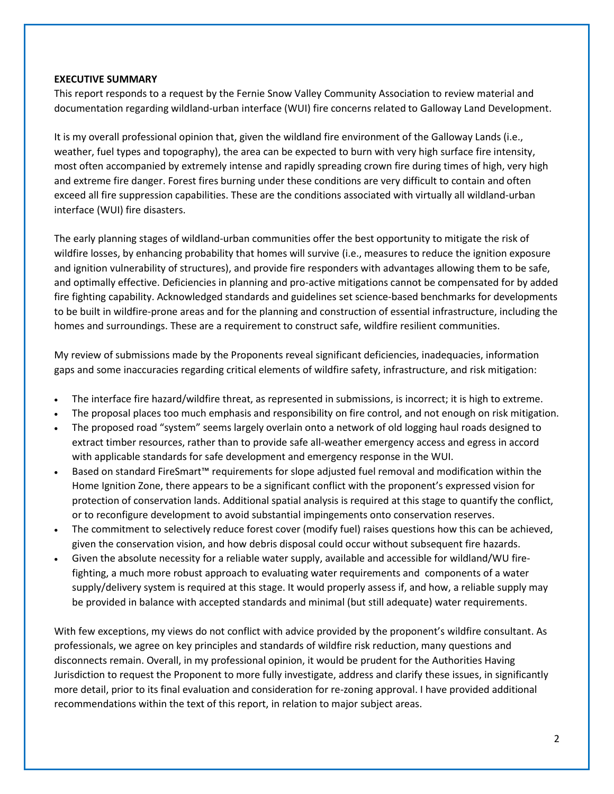#### **EXECUTIVE SUMMARY**

This report responds to a request by the Fernie Snow Valley Community Association to review material and documentation regarding wildland-urban interface (WUI) fire concerns related to Galloway Land Development.

It is my overall professional opinion that, given the wildland fire environment of the Galloway Lands (i.e., weather, fuel types and topography), the area can be expected to burn with very high surface fire intensity, most often accompanied by extremely intense and rapidly spreading crown fire during times of high, very high and extreme fire danger. Forest fires burning under these conditions are very difficult to contain and often exceed all fire suppression capabilities. These are the conditions associated with virtually all wildland-urban interface (WUI) fire disasters.

The early planning stages of wildland-urban communities offer the best opportunity to mitigate the risk of wildfire losses, by enhancing probability that homes will survive (i.e., measures to reduce the ignition exposure and ignition vulnerability of structures), and provide fire responders with advantages allowing them to be safe, and optimally effective. Deficiencies in planning and pro-active mitigations cannot be compensated for by added fire fighting capability. Acknowledged standards and guidelines set science-based benchmarks for developments to be built in wildfire-prone areas and for the planning and construction of essential infrastructure, including the homes and surroundings. These are a requirement to construct safe, wildfire resilient communities.

My review of submissions made by the Proponents reveal significant deficiencies, inadequacies, information gaps and some inaccuracies regarding critical elements of wildfire safety, infrastructure, and risk mitigation:

- The interface fire hazard/wildfire threat, as represented in submissions, is incorrect; it is high to extreme.
- The proposal places too much emphasis and responsibility on fire control, and not enough on risk mitigation.
- The proposed road "system" seems largely overlain onto a network of old logging haul roads designed to extract timber resources, rather than to provide safe all-weather emergency access and egress in accord with applicable standards for safe development and emergency response in the WUI.
- Based on standard FireSmart™ requirements for slope adjusted fuel removal and modification within the Home Ignition Zone, there appears to be a significant conflict with the proponent's expressed vision for protection of conservation lands. Additional spatial analysis is required at this stage to quantify the conflict, or to reconfigure development to avoid substantial impingements onto conservation reserves.
- The commitment to selectively reduce forest cover (modify fuel) raises questions how this can be achieved, given the conservation vision, and how debris disposal could occur without subsequent fire hazards.
- Given the absolute necessity for a reliable water supply, available and accessible for wildland/WU firefighting, a much more robust approach to evaluating water requirements and components of a water supply/delivery system is required at this stage. It would properly assess if, and how, a reliable supply may be provided in balance with accepted standards and minimal (but still adequate) water requirements.

With few exceptions, my views do not conflict with advice provided by the proponent's wildfire consultant. As professionals, we agree on key principles and standards of wildfire risk reduction, many questions and disconnects remain. Overall, in my professional opinion, it would be prudent for the Authorities Having Jurisdiction to request the Proponent to more fully investigate, address and clarify these issues, in significantly more detail, prior to its final evaluation and consideration for re-zoning approval. I have provided additional recommendations within the text of this report, in relation to major subject areas.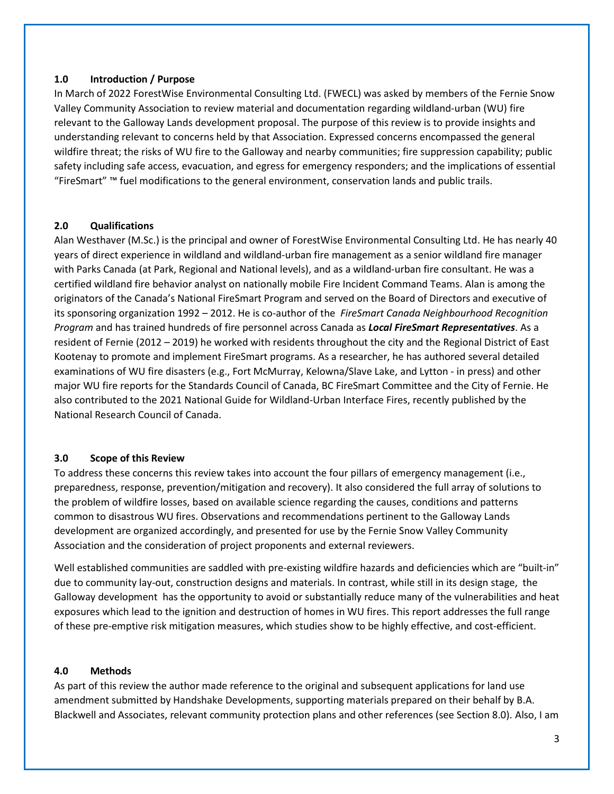#### **1.0 Introduction / Purpose**

In March of 2022 ForestWise Environmental Consulting Ltd. (FWECL) was asked by members of the Fernie Snow Valley Community Association to review material and documentation regarding wildland-urban (WU) fire relevant to the Galloway Lands development proposal. The purpose of this review is to provide insights and understanding relevant to concerns held by that Association. Expressed concerns encompassed the general wildfire threat; the risks of WU fire to the Galloway and nearby communities; fire suppression capability; public safety including safe access, evacuation, and egress for emergency responders; and the implications of essential "FireSmart" ™ fuel modifications to the general environment, conservation lands and public trails.

## **2.0 Qualifications**

Alan Westhaver (M.Sc.) is the principal and owner of ForestWise Environmental Consulting Ltd. He has nearly 40 years of direct experience in wildland and wildland-urban fire management as a senior wildland fire manager with Parks Canada (at Park, Regional and National levels), and as a wildland-urban fire consultant. He was a certified wildland fire behavior analyst on nationally mobile Fire Incident Command Teams. Alan is among the originators of the Canada's National FireSmart Program and served on the Board of Directors and executive of its sponsoring organization 1992 – 2012. He is co-author of the *FireSmart Canada Neighbourhood Recognition Program* and has trained hundreds of fire personnel across Canada as *Local FireSmart Representatives*. As a resident of Fernie (2012 – 2019) he worked with residents throughout the city and the Regional District of East Kootenay to promote and implement FireSmart programs. As a researcher, he has authored several detailed examinations of WU fire disasters (e.g., Fort McMurray, Kelowna/Slave Lake, and Lytton - in press) and other major WU fire reports for the Standards Council of Canada, BC FireSmart Committee and the City of Fernie. He also contributed to the 2021 National Guide for Wildland-Urban Interface Fires, recently published by the National Research Council of Canada.

#### **3.0 Scope of this Review**

To address these concerns this review takes into account the four pillars of emergency management (i.e., preparedness, response, prevention/mitigation and recovery). It also considered the full array of solutions to the problem of wildfire losses, based on available science regarding the causes, conditions and patterns common to disastrous WU fires. Observations and recommendations pertinent to the Galloway Lands development are organized accordingly, and presented for use by the Fernie Snow Valley Community Association and the consideration of project proponents and external reviewers.

Well established communities are saddled with pre-existing wildfire hazards and deficiencies which are "built-in" due to community lay-out, construction designs and materials. In contrast, while still in its design stage, the Galloway development has the opportunity to avoid or substantially reduce many of the vulnerabilities and heat exposures which lead to the ignition and destruction of homes in WU fires. This report addresses the full range of these pre-emptive risk mitigation measures, which studies show to be highly effective, and cost-efficient.

#### **4.0 Methods**

As part of this review the author made reference to the original and subsequent applications for land use amendment submitted by Handshake Developments, supporting materials prepared on their behalf by B.A. Blackwell and Associates, relevant community protection plans and other references (see Section 8.0). Also, I am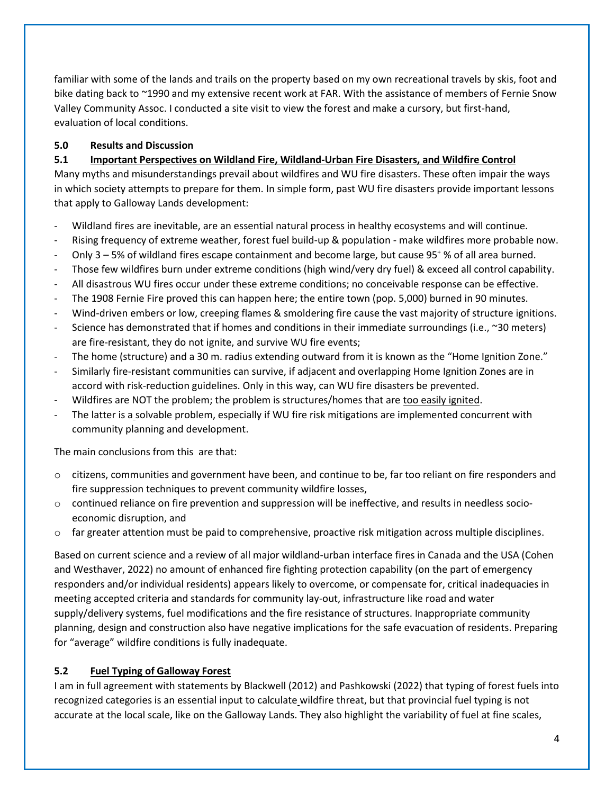familiar with some of the lands and trails on the property based on my own recreational travels by skis, foot and bike dating back to ~1990 and my extensive recent work at FAR. With the assistance of members of Fernie Snow Valley Community Assoc. I conducted a site visit to view the forest and make a cursory, but first-hand, evaluation of local conditions.

# **5.0 Results and Discussion**

# **5.1 Important Perspectives on Wildland Fire, Wildland-Urban Fire Disasters, and Wildfire Control**

Many myths and misunderstandings prevail about wildfires and WU fire disasters. These often impair the ways in which society attempts to prepare for them. In simple form, past WU fire disasters provide important lessons that apply to Galloway Lands development:

- Wildland fires are inevitable, are an essential natural process in healthy ecosystems and will continue.
- Rising frequency of extreme weather, forest fuel build-up & population make wildfires more probable now.
- Only 3 5% of wildland fires escape containment and become large, but cause 95<sup>+</sup> % of all area burned.
- Those few wildfires burn under extreme conditions (high wind/very dry fuel) & exceed all control capability.
- All disastrous WU fires occur under these extreme conditions; no conceivable response can be effective.
- The 1908 Fernie Fire proved this can happen here; the entire town (pop. 5,000) burned in 90 minutes.
- Wind-driven embers or low, creeping flames & smoldering fire cause the vast majority of structure ignitions.
- Science has demonstrated that if homes and conditions in their immediate surroundings (i.e., ~30 meters) are fire-resistant, they do not ignite, and survive WU fire events;
- The home (structure) and a 30 m. radius extending outward from it is known as the "Home Ignition Zone."
- Similarly fire-resistant communities can survive, if adjacent and overlapping Home Ignition Zones are in accord with risk-reduction guidelines. Only in this way, can WU fire disasters be prevented.
- Wildfires are NOT the problem; the problem is structures/homes that are too easily ignited.
- The latter is a solvable problem, especially if WU fire risk mitigations are implemented concurrent with community planning and development.

The main conclusions from this are that:

- o citizens, communities and government have been, and continue to be, far too reliant on fire responders and fire suppression techniques to prevent community wildfire losses,
- o continued reliance on fire prevention and suppression will be ineffective, and results in needless socioeconomic disruption, and
- $\circ$  far greater attention must be paid to comprehensive, proactive risk mitigation across multiple disciplines.

Based on current science and a review of all major wildland-urban interface fires in Canada and the USA (Cohen and Westhaver, 2022) no amount of enhanced fire fighting protection capability (on the part of emergency responders and/or individual residents) appears likely to overcome, or compensate for, critical inadequacies in meeting accepted criteria and standards for community lay-out, infrastructure like road and water supply/delivery systems, fuel modifications and the fire resistance of structures. Inappropriate community planning, design and construction also have negative implications for the safe evacuation of residents. Preparing for "average" wildfire conditions is fully inadequate.

# **5.2 Fuel Typing of Galloway Forest**

I am in full agreement with statements by Blackwell (2012) and Pashkowski (2022) that typing of forest fuels into recognized categories is an essential input to calculate wildfire threat, but that provincial fuel typing is not accurate at the local scale, like on the Galloway Lands. They also highlight the variability of fuel at fine scales,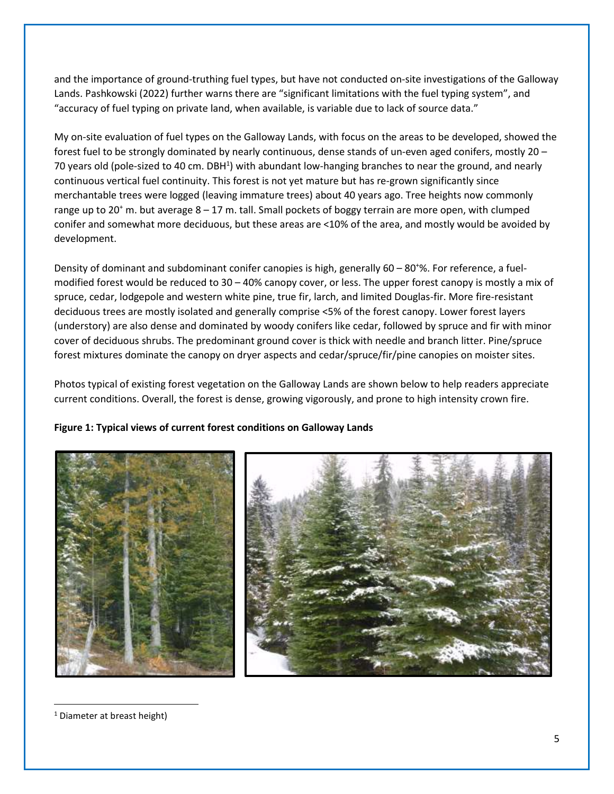and the importance of ground-truthing fuel types, but have not conducted on-site investigations of the Galloway Lands. Pashkowski (2022) further warns there are "significant limitations with the fuel typing system", and "accuracy of fuel typing on private land, when available, is variable due to lack of source data."

My on-site evaluation of fuel types on the Galloway Lands, with focus on the areas to be developed, showed the forest fuel to be strongly dominated by nearly continuous, dense stands of un-even aged conifers, mostly 20 – 70 years old (pole-sized to 40 cm. DBH<sup>1</sup>) with abundant low-hanging branches to near the ground, and nearly continuous vertical fuel continuity. This forest is not yet mature but has re-grown significantly since merchantable trees were logged (leaving immature trees) about 40 years ago. Tree heights now commonly range up to 20<sup>+</sup> m. but average  $8 - 17$  m. tall. Small pockets of boggy terrain are more open, with clumped conifer and somewhat more deciduous, but these areas are <10% of the area, and mostly would be avoided by development.

Density of dominant and subdominant conifer canopies is high, generally  $60 - 80$ <sup>+ $\%$ </sup>. For reference, a fuelmodified forest would be reduced to 30 – 40% canopy cover, or less. The upper forest canopy is mostly a mix of spruce, cedar, lodgepole and western white pine, true fir, larch, and limited Douglas-fir. More fire-resistant deciduous trees are mostly isolated and generally comprise <5% of the forest canopy. Lower forest layers (understory) are also dense and dominated by woody conifers like cedar, followed by spruce and fir with minor cover of deciduous shrubs. The predominant ground cover is thick with needle and branch litter. Pine/spruce forest mixtures dominate the canopy on dryer aspects and cedar/spruce/fir/pine canopies on moister sites.

Photos typical of existing forest vegetation on the Galloway Lands are shown below to help readers appreciate current conditions. Overall, the forest is dense, growing vigorously, and prone to high intensity crown fire.

# **Figure 1: Typical views of current forest conditions on Galloway Lands**





<sup>1</sup> Diameter at breast height)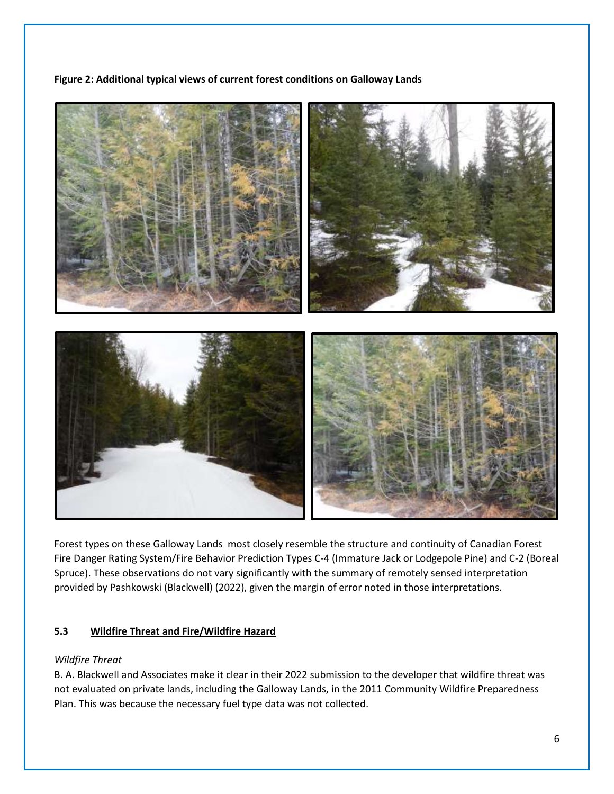**Figure 2: Additional typical views of current forest conditions on Galloway Lands**



Forest types on these Galloway Lands most closely resemble the structure and continuity of Canadian Forest Fire Danger Rating System/Fire Behavior Prediction Types C-4 (Immature Jack or Lodgepole Pine) and C-2 (Boreal Spruce). These observations do not vary significantly with the summary of remotely sensed interpretation provided by Pashkowski (Blackwell) (2022), given the margin of error noted in those interpretations.

# **5.3 Wildfire Threat and Fire/Wildfire Hazard**

#### *Wildfire Threat*

B. A. Blackwell and Associates make it clear in their 2022 submission to the developer that wildfire threat was not evaluated on private lands, including the Galloway Lands, in the 2011 Community Wildfire Preparedness Plan. This was because the necessary fuel type data was not collected.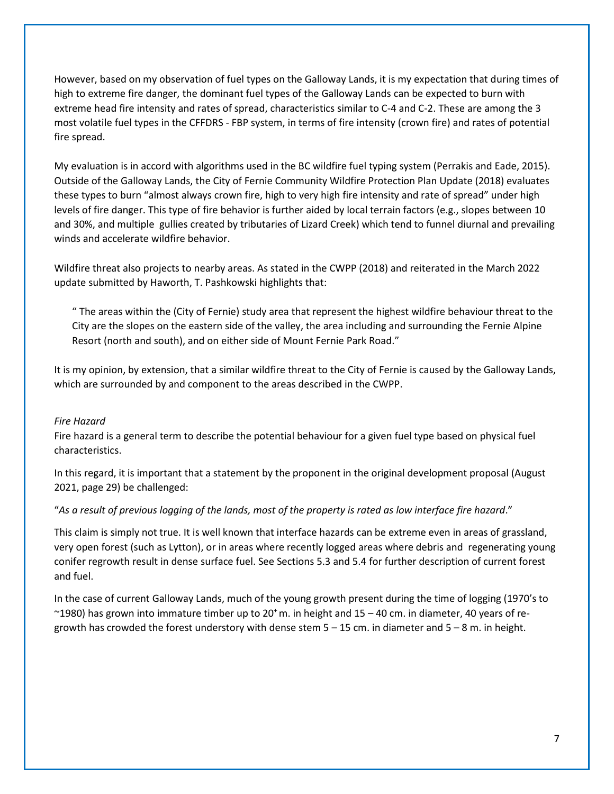However, based on my observation of fuel types on the Galloway Lands, it is my expectation that during times of high to extreme fire danger, the dominant fuel types of the Galloway Lands can be expected to burn with extreme head fire intensity and rates of spread, characteristics similar to C-4 and C-2. These are among the 3 most volatile fuel types in the CFFDRS - FBP system, in terms of fire intensity (crown fire) and rates of potential fire spread.

My evaluation is in accord with algorithms used in the BC wildfire fuel typing system (Perrakis and Eade, 2015). Outside of the Galloway Lands, the City of Fernie Community Wildfire Protection Plan Update (2018) evaluates these types to burn "almost always crown fire, high to very high fire intensity and rate of spread" under high levels of fire danger. This type of fire behavior is further aided by local terrain factors (e.g., slopes between 10 and 30%, and multiple gullies created by tributaries of Lizard Creek) which tend to funnel diurnal and prevailing winds and accelerate wildfire behavior.

Wildfire threat also projects to nearby areas. As stated in the CWPP (2018) and reiterated in the March 2022 update submitted by Haworth, T. Pashkowski highlights that:

" The areas within the (City of Fernie) study area that represent the highest wildfire behaviour threat to the City are the slopes on the eastern side of the valley, the area including and surrounding the Fernie Alpine Resort (north and south), and on either side of Mount Fernie Park Road."

It is my opinion, by extension, that a similar wildfire threat to the City of Fernie is caused by the Galloway Lands, which are surrounded by and component to the areas described in the CWPP.

#### *Fire Hazard*

Fire hazard is a general term to describe the potential behaviour for a given fuel type based on physical fuel characteristics.

In this regard, it is important that a statement by the proponent in the original development proposal (August 2021, page 29) be challenged:

#### "*As a result of previous logging of the lands, most of the property is rated as low interface fire hazard*."

This claim is simply not true. It is well known that interface hazards can be extreme even in areas of grassland, very open forest (such as Lytton), or in areas where recently logged areas where debris and regenerating young conifer regrowth result in dense surface fuel. See Sections 5.3 and 5.4 for further description of current forest and fuel.

In the case of current Galloway Lands, much of the young growth present during the time of logging (1970's to  $\sim$ 1980) has grown into immature timber up to 20<sup>+</sup>m. in height and 15 – 40 cm. in diameter, 40 years of regrowth has crowded the forest understory with dense stem  $5 - 15$  cm. in diameter and  $5 - 8$  m. in height.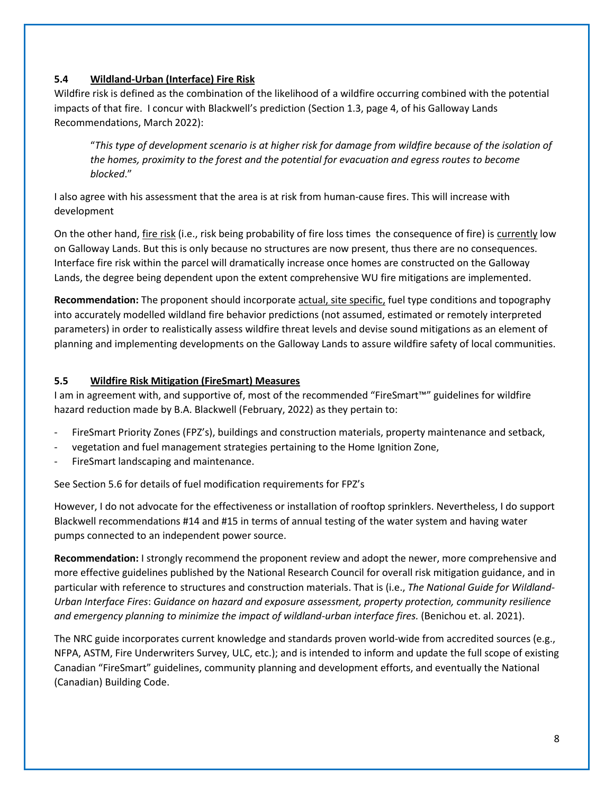## **5.4 Wildland-Urban (Interface) Fire Risk**

Wildfire risk is defined as the combination of the likelihood of a wildfire occurring combined with the potential impacts of that fire. I concur with Blackwell's prediction (Section 1.3, page 4, of his Galloway Lands Recommendations, March 2022):

"*This type of development scenario is at higher risk for damage from wildfire because of the isolation of the homes, proximity to the forest and the potential for evacuation and egress routes to become blocked*."

I also agree with his assessment that the area is at risk from human-cause fires. This will increase with development

On the other hand, fire risk (i.e., risk being probability of fire loss times the consequence of fire) is currently low on Galloway Lands. But this is only because no structures are now present, thus there are no consequences. Interface fire risk within the parcel will dramatically increase once homes are constructed on the Galloway Lands, the degree being dependent upon the extent comprehensive WU fire mitigations are implemented.

**Recommendation:** The proponent should incorporate actual, site specific, fuel type conditions and topography into accurately modelled wildland fire behavior predictions (not assumed, estimated or remotely interpreted parameters) in order to realistically assess wildfire threat levels and devise sound mitigations as an element of planning and implementing developments on the Galloway Lands to assure wildfire safety of local communities.

## **5.5 Wildfire Risk Mitigation (FireSmart) Measures**

I am in agreement with, and supportive of, most of the recommended "FireSmart™" guidelines for wildfire hazard reduction made by B.A. Blackwell (February, 2022) as they pertain to:

- FireSmart Priority Zones (FPZ's), buildings and construction materials, property maintenance and setback,
- vegetation and fuel management strategies pertaining to the Home Ignition Zone,
- FireSmart landscaping and maintenance.

See Section 5.6 for details of fuel modification requirements for FPZ's

However, I do not advocate for the effectiveness or installation of rooftop sprinklers. Nevertheless, I do support Blackwell recommendations #14 and #15 in terms of annual testing of the water system and having water pumps connected to an independent power source.

**Recommendation:** I strongly recommend the proponent review and adopt the newer, more comprehensive and more effective guidelines published by the National Research Council for overall risk mitigation guidance, and in particular with reference to structures and construction materials. That is (i.e., *The National Guide for Wildland-Urban Interface Fires*: *Guidance on hazard and exposure assessment, property protection, community resilience and emergency planning to minimize the impact of wildland-urban interface fires.* (Benichou et. al. 2021).

The NRC guide incorporates current knowledge and standards proven world-wide from accredited sources (e.g., NFPA, ASTM, Fire Underwriters Survey, ULC, etc.); and is intended to inform and update the full scope of existing Canadian "FireSmart" guidelines, community planning and development efforts, and eventually the National (Canadian) Building Code.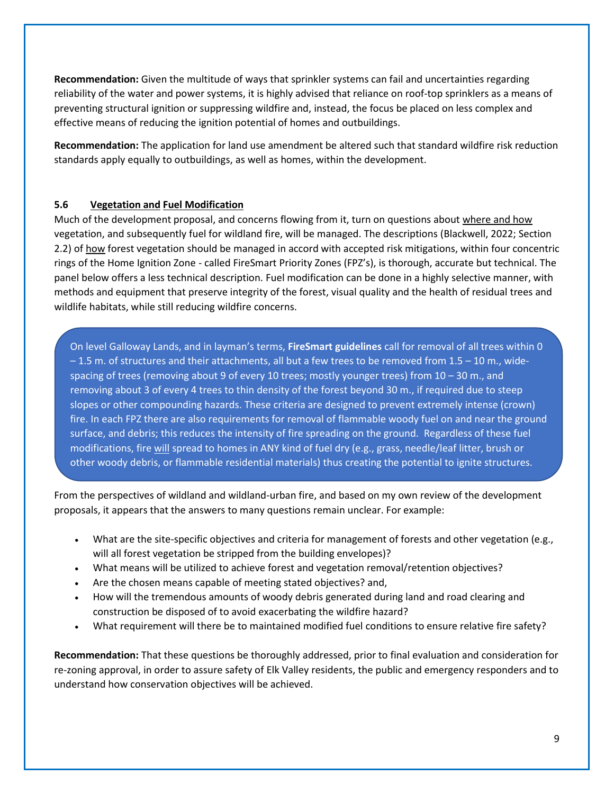**Recommendation:** Given the multitude of ways that sprinkler systems can fail and uncertainties regarding reliability of the water and power systems, it is highly advised that reliance on roof-top sprinklers as a means of preventing structural ignition or suppressing wildfire and, instead, the focus be placed on less complex and effective means of reducing the ignition potential of homes and outbuildings.

**Recommendation:** The application for land use amendment be altered such that standard wildfire risk reduction standards apply equally to outbuildings, as well as homes, within the development.

# **5.6 Vegetation and Fuel Modification**

Much of the development proposal, and concerns flowing from it, turn on questions about where and how vegetation, and subsequently fuel for wildland fire, will be managed. The descriptions (Blackwell, 2022; Section 2.2) of how forest vegetation should be managed in accord with accepted risk mitigations, within four concentric rings of the Home Ignition Zone - called FireSmart Priority Zones (FPZ's), is thorough, accurate but technical. The panel below offers a less technical description. Fuel modification can be done in a highly selective manner, with methods and equipment that preserve integrity of the forest, visual quality and the health of residual trees and wildlife habitats, while still reducing wildfire concerns.

On level Galloway Lands, and in layman's terms, **FireSmart guidelines** call for removal of all trees within 0 – 1.5 m. of structures and their attachments, all but a few trees to be removed from 1.5 – 10 m., widespacing of trees (removing about 9 of every 10 trees; mostly younger trees) from 10 – 30 m., and removing about 3 of every 4 trees to thin density of the forest beyond 30 m., if required due to steep slopes or other compounding hazards. These criteria are designed to prevent extremely intense (crown) fire. In each FPZ there are also requirements for removal of flammable woody fuel on and near the ground surface, and debris; this reduces the intensity of fire spreading on the ground. Regardless of these fuel modifications, fire will spread to homes in ANY kind of fuel dry (e.g., grass, needle/leaf litter, brush or other woody debris, or flammable residential materials) thus creating the potential to ignite structures.

From the perspectives of wildland and wildland-urban fire, and based on my own review of the development proposals, it appears that the answers to many questions remain unclear. For example:

- What are the site-specific objectives and criteria for management of forests and other vegetation (e.g., will all forest vegetation be stripped from the building envelopes)?
- What means will be utilized to achieve forest and vegetation removal/retention objectives?
- Are the chosen means capable of meeting stated objectives? and,
- How will the tremendous amounts of woody debris generated during land and road clearing and construction be disposed of to avoid exacerbating the wildfire hazard?
- What requirement will there be to maintained modified fuel conditions to ensure relative fire safety?

**Recommendation:** That these questions be thoroughly addressed, prior to final evaluation and consideration for re-zoning approval, in order to assure safety of Elk Valley residents, the public and emergency responders and to understand how conservation objectives will be achieved.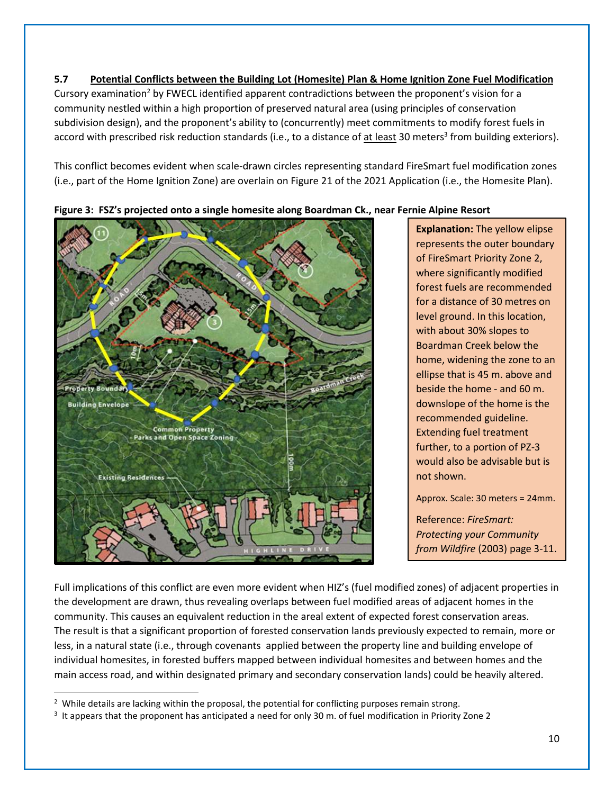# **5.7 Potential Conflicts between the Building Lot (Homesite) Plan & Home Ignition Zone Fuel Modification**

Cursory examination<sup>2</sup> by FWECL identified apparent contradictions between the proponent's vision for a community nestled within a high proportion of preserved natural area (using principles of conservation subdivision design), and the proponent's ability to (concurrently) meet commitments to modify forest fuels in accord with prescribed risk reduction standards (i.e., to a distance of at least 30 meters<sup>3</sup> from building exteriors).

This conflict becomes evident when scale-drawn circles representing standard FireSmart fuel modification zones (i.e., part of the Home Ignition Zone) are overlain on Figure 21 of the 2021 Application (i.e., the Homesite Plan).





**Explanation:** The yellow elipse represents the outer boundary of FireSmart Priority Zone 2, where significantly modified forest fuels are recommended for a distance of 30 metres on level ground. In this location, with about 30% slopes to Boardman Creek below the home, widening the zone to an ellipse that is 45 m. above and beside the home - and 60 m. downslope of the home is the recommended guideline. Extending fuel treatment further, to a portion of PZ-3 would also be advisable but is not shown.

Approx. Scale: 30 meters = 24mm.

Reference: *FireSmart: Protecting your Community from Wildfire* (2003) page 3-11.

Full implications of this conflict are even more evident when HIZ's (fuel modified zones) of adjacent properties in the development are drawn, thus revealing overlaps between fuel modified areas of adjacent homes in the community. This causes an equivalent reduction in the areal extent of expected forest conservation areas. The result is that a significant proportion of forested conservation lands previously expected to remain, more or less, in a natural state (i.e., through covenants applied between the property line and building envelope of individual homesites, in forested buffers mapped between individual homesites and between homes and the main access road, and within designated primary and secondary conservation lands) could be heavily altered.

 $2$  While details are lacking within the proposal, the potential for conflicting purposes remain strong.

<sup>&</sup>lt;sup>3</sup> It appears that the proponent has anticipated a need for only 30 m. of fuel modification in Priority Zone 2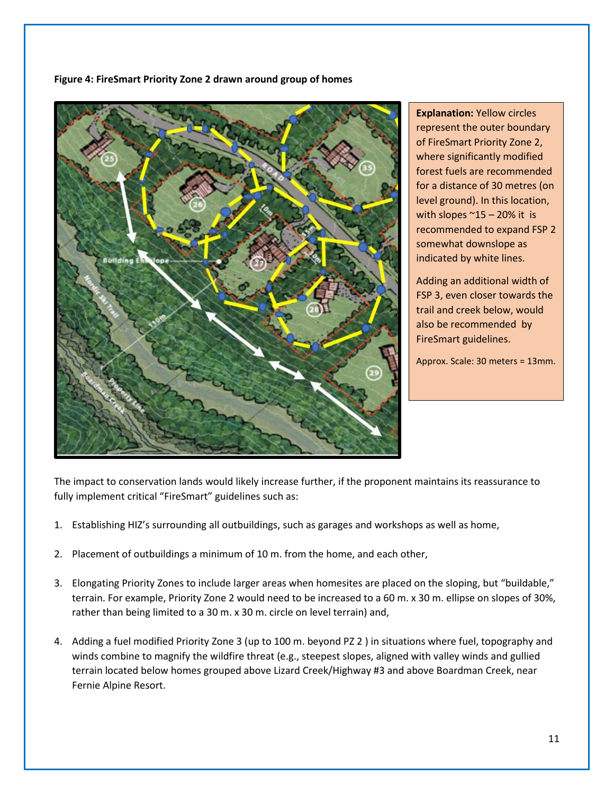**Figure 4: FireSmart Priority Zone 2 drawn around group of homes**



**Explanation:** Yellow circles represent the outer boundary of FireSmart Priority Zone 2, where significantly modified forest fuels are recommended for a distance of 30 metres (on level ground). In this location, with slopes  $^{\sim}$ 15 – 20% it is recommended to expand FSP 2 somewhat downslope as indicated by white lines.

Adding an additional width of FSP 3, even closer towards the trail and creek below, would also be recommended by FireSmart guidelines.

Approx. Scale: 30 meters = 13mm.

The impact to conservation lands would likely increase further, if the proponent maintains its reassurance to fully implement critical "FireSmart" guidelines such as:

- 1. Establishing HIZ's surrounding all outbuildings, such as garages and workshops as well as home,
- 2. Placement of outbuildings a minimum of 10 m. from the home, and each other,
- 3. Elongating Priority Zones to include larger areas when homesites are placed on the sloping, but "buildable," terrain. For example, Priority Zone 2 would need to be increased to a 60 m. x 30 m. ellipse on slopes of 30%, rather than being limited to a 30 m. x 30 m. circle on level terrain) and,
- 4. Adding a fuel modified Priority Zone 3 (up to 100 m. beyond PZ 2 ) in situations where fuel, topography and winds combine to magnify the wildfire threat (e.g., steepest slopes, aligned with valley winds and gullied terrain located below homes grouped above Lizard Creek/Highway #3 and above Boardman Creek, near Fernie Alpine Resort.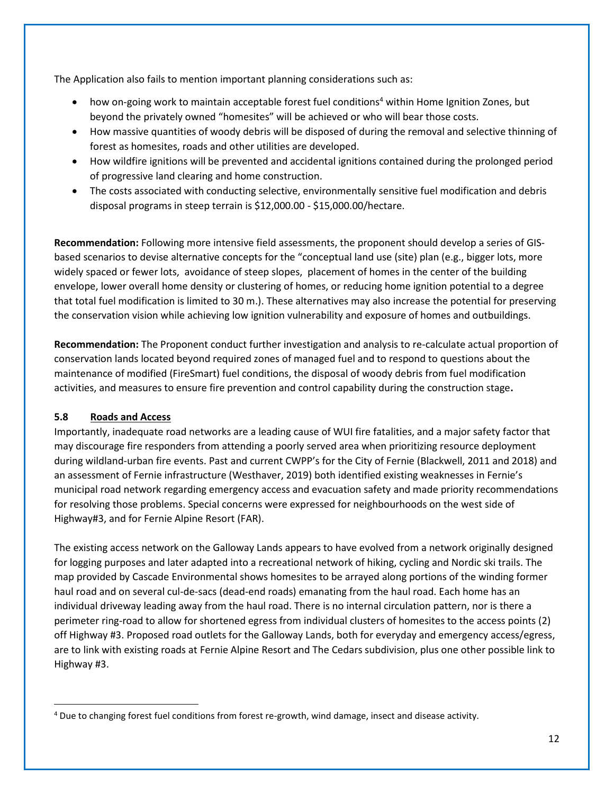The Application also fails to mention important planning considerations such as:

- how on-going work to maintain acceptable forest fuel conditions<sup>4</sup> within Home Ignition Zones, but beyond the privately owned "homesites" will be achieved or who will bear those costs.
- How massive quantities of woody debris will be disposed of during the removal and selective thinning of forest as homesites, roads and other utilities are developed.
- How wildfire ignitions will be prevented and accidental ignitions contained during the prolonged period of progressive land clearing and home construction.
- The costs associated with conducting selective, environmentally sensitive fuel modification and debris disposal programs in steep terrain is \$12,000.00 - \$15,000.00/hectare.

**Recommendation:** Following more intensive field assessments, the proponent should develop a series of GISbased scenarios to devise alternative concepts for the "conceptual land use (site) plan (e.g., bigger lots, more widely spaced or fewer lots, avoidance of steep slopes, placement of homes in the center of the building envelope, lower overall home density or clustering of homes, or reducing home ignition potential to a degree that total fuel modification is limited to 30 m.). These alternatives may also increase the potential for preserving the conservation vision while achieving low ignition vulnerability and exposure of homes and outbuildings.

**Recommendation:** The Proponent conduct further investigation and analysis to re-calculate actual proportion of conservation lands located beyond required zones of managed fuel and to respond to questions about the maintenance of modified (FireSmart) fuel conditions, the disposal of woody debris from fuel modification activities, and measures to ensure fire prevention and control capability during the construction stage**.**

# **5.8 Roads and Access**

Importantly, inadequate road networks are a leading cause of WUI fire fatalities, and a major safety factor that may discourage fire responders from attending a poorly served area when prioritizing resource deployment during wildland-urban fire events. Past and current CWPP's for the City of Fernie (Blackwell, 2011 and 2018) and an assessment of Fernie infrastructure (Westhaver, 2019) both identified existing weaknesses in Fernie's municipal road network regarding emergency access and evacuation safety and made priority recommendations for resolving those problems. Special concerns were expressed for neighbourhoods on the west side of Highway#3, and for Fernie Alpine Resort (FAR).

The existing access network on the Galloway Lands appears to have evolved from a network originally designed for logging purposes and later adapted into a recreational network of hiking, cycling and Nordic ski trails. The map provided by Cascade Environmental shows homesites to be arrayed along portions of the winding former haul road and on several cul-de-sacs (dead-end roads) emanating from the haul road. Each home has an individual driveway leading away from the haul road. There is no internal circulation pattern, nor is there a perimeter ring-road to allow for shortened egress from individual clusters of homesites to the access points (2) off Highway #3. Proposed road outlets for the Galloway Lands, both for everyday and emergency access/egress, are to link with existing roads at Fernie Alpine Resort and The Cedars subdivision, plus one other possible link to Highway #3.

<sup>4</sup> Due to changing forest fuel conditions from forest re-growth, wind damage, insect and disease activity.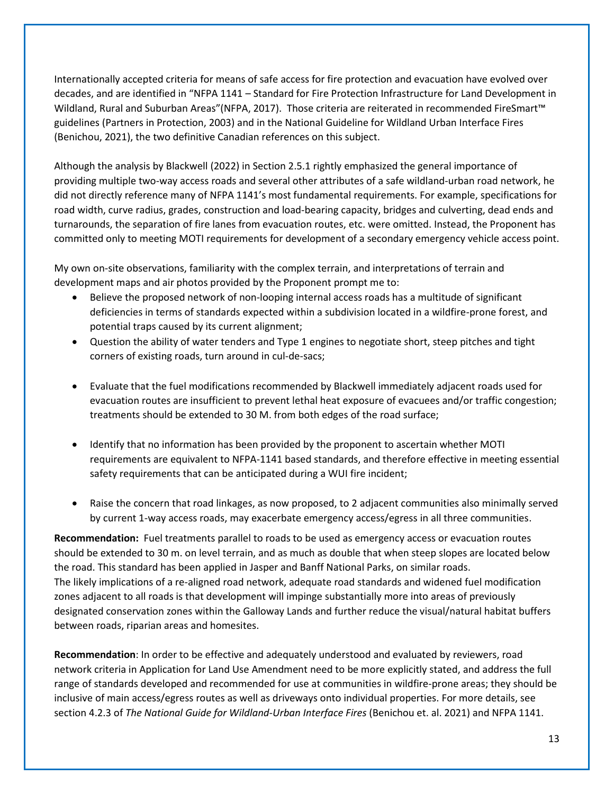Internationally accepted criteria for means of safe access for fire protection and evacuation have evolved over decades, and are identified in "NFPA 1141 – Standard for Fire Protection Infrastructure for Land Development in Wildland, Rural and Suburban Areas"(NFPA, 2017). Those criteria are reiterated in recommended FireSmart™ guidelines (Partners in Protection, 2003) and in the National Guideline for Wildland Urban Interface Fires (Benichou, 2021), the two definitive Canadian references on this subject.

Although the analysis by Blackwell (2022) in Section 2.5.1 rightly emphasized the general importance of providing multiple two-way access roads and several other attributes of a safe wildland-urban road network, he did not directly reference many of NFPA 1141's most fundamental requirements. For example, specifications for road width, curve radius, grades, construction and load-bearing capacity, bridges and culverting, dead ends and turnarounds, the separation of fire lanes from evacuation routes, etc. were omitted. Instead, the Proponent has committed only to meeting MOTI requirements for development of a secondary emergency vehicle access point.

My own on-site observations, familiarity with the complex terrain, and interpretations of terrain and development maps and air photos provided by the Proponent prompt me to:

- Believe the proposed network of non-looping internal access roads has a multitude of significant deficiencies in terms of standards expected within a subdivision located in a wildfire-prone forest, and potential traps caused by its current alignment;
- Question the ability of water tenders and Type 1 engines to negotiate short, steep pitches and tight corners of existing roads, turn around in cul-de-sacs;
- Evaluate that the fuel modifications recommended by Blackwell immediately adjacent roads used for evacuation routes are insufficient to prevent lethal heat exposure of evacuees and/or traffic congestion; treatments should be extended to 30 M. from both edges of the road surface;
- Identify that no information has been provided by the proponent to ascertain whether MOTI requirements are equivalent to NFPA-1141 based standards, and therefore effective in meeting essential safety requirements that can be anticipated during a WUI fire incident;
- Raise the concern that road linkages, as now proposed, to 2 adjacent communities also minimally served by current 1-way access roads, may exacerbate emergency access/egress in all three communities.

**Recommendation:** Fuel treatments parallel to roads to be used as emergency access or evacuation routes should be extended to 30 m. on level terrain, and as much as double that when steep slopes are located below the road. This standard has been applied in Jasper and Banff National Parks, on similar roads. The likely implications of a re-aligned road network, adequate road standards and widened fuel modification zones adjacent to all roads is that development will impinge substantially more into areas of previously designated conservation zones within the Galloway Lands and further reduce the visual/natural habitat buffers between roads, riparian areas and homesites.

**Recommendation**: In order to be effective and adequately understood and evaluated by reviewers, road network criteria in Application for Land Use Amendment need to be more explicitly stated, and address the full range of standards developed and recommended for use at communities in wildfire-prone areas; they should be inclusive of main access/egress routes as well as driveways onto individual properties. For more details, see section 4.2.3 of *The National Guide for Wildland-Urban Interface Fires* (Benichou et. al. 2021) and NFPA 1141.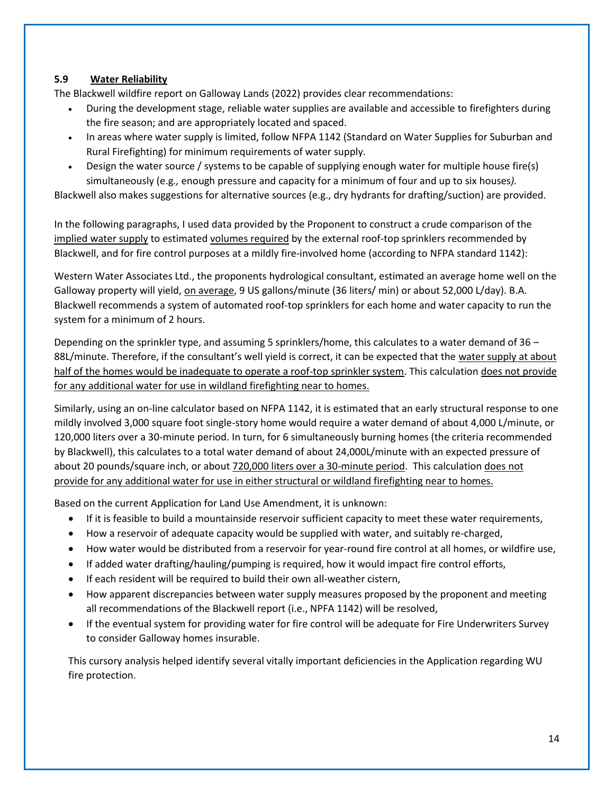# **5.9 Water Reliability**

The Blackwell wildfire report on Galloway Lands (2022) provides clear recommendations:

- During the development stage, reliable water supplies are available and accessible to firefighters during the fire season; and are appropriately located and spaced.
- In areas where water supply is limited, follow NFPA 1142 (Standard on Water Supplies for Suburban and Rural Firefighting) for minimum requirements of water supply.
- Design the water source / systems to be capable of supplying enough water for multiple house fire(s) simultaneously (e.g*.,* enough pressure and capacity for a minimum of four and up to six houses*).*

Blackwell also makes suggestions for alternative sources (e.g., dry hydrants for drafting/suction) are provided.

In the following paragraphs, I used data provided by the Proponent to construct a crude comparison of the implied water supply to estimated volumes required by the external roof-top sprinklers recommended by Blackwell, and for fire control purposes at a mildly fire-involved home (according to NFPA standard 1142):

Western Water Associates Ltd., the proponents hydrological consultant, estimated an average home well on the Galloway property will yield, on average, 9 US gallons/minute (36 liters/ min) or about 52,000 L/day). B.A. Blackwell recommends a system of automated roof-top sprinklers for each home and water capacity to run the system for a minimum of 2 hours.

Depending on the sprinkler type, and assuming 5 sprinklers/home, this calculates to a water demand of 36 – 88L/minute. Therefore, if the consultant's well yield is correct, it can be expected that the water supply at about half of the homes would be inadequate to operate a roof-top sprinkler system. This calculation does not provide for any additional water for use in wildland firefighting near to homes.

Similarly, using an on-line calculator based on NFPA 1142, it is estimated that an early structural response to one mildly involved 3,000 square foot single-story home would require a water demand of about 4,000 L/minute, or 120,000 liters over a 30-minute period. In turn, for 6 simultaneously burning homes (the criteria recommended by Blackwell), this calculates to a total water demand of about 24,000L/minute with an expected pressure of about 20 pounds/square inch, or about 720,000 liters over a 30-minute period. This calculation does not provide for any additional water for use in either structural or wildland firefighting near to homes.

Based on the current Application for Land Use Amendment, it is unknown:

- If it is feasible to build a mountainside reservoir sufficient capacity to meet these water requirements,
- How a reservoir of adequate capacity would be supplied with water, and suitably re-charged,
- How water would be distributed from a reservoir for year-round fire control at all homes, or wildfire use,
- If added water drafting/hauling/pumping is required, how it would impact fire control efforts,
- If each resident will be required to build their own all-weather cistern,
- How apparent discrepancies between water supply measures proposed by the proponent and meeting all recommendations of the Blackwell report (i.e., NPFA 1142) will be resolved,
- If the eventual system for providing water for fire control will be adequate for Fire Underwriters Survey to consider Galloway homes insurable.

This cursory analysis helped identify several vitally important deficiencies in the Application regarding WU fire protection.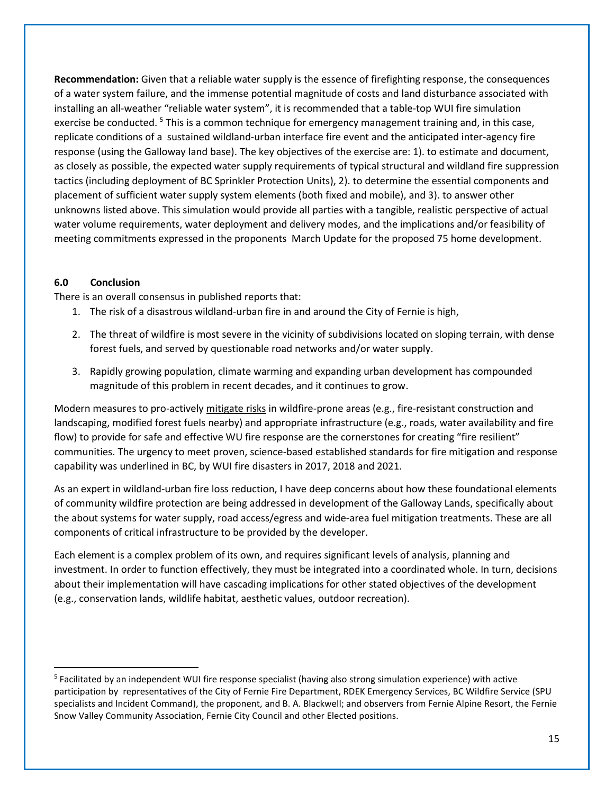**Recommendation:** Given that a reliable water supply is the essence of firefighting response, the consequences of a water system failure, and the immense potential magnitude of costs and land disturbance associated with installing an all-weather "reliable water system", it is recommended that a table-top WUI fire simulation exercise be conducted. <sup>5</sup> This is a common technique for emergency management training and, in this case, replicate conditions of a sustained wildland-urban interface fire event and the anticipated inter-agency fire response (using the Galloway land base). The key objectives of the exercise are: 1). to estimate and document, as closely as possible, the expected water supply requirements of typical structural and wildland fire suppression tactics (including deployment of BC Sprinkler Protection Units), 2). to determine the essential components and placement of sufficient water supply system elements (both fixed and mobile), and 3). to answer other unknowns listed above. This simulation would provide all parties with a tangible, realistic perspective of actual water volume requirements, water deployment and delivery modes, and the implications and/or feasibility of meeting commitments expressed in the proponents March Update for the proposed 75 home development.

## **6.0 Conclusion**

There is an overall consensus in published reports that:

- 1. The risk of a disastrous wildland-urban fire in and around the City of Fernie is high,
- 2. The threat of wildfire is most severe in the vicinity of subdivisions located on sloping terrain, with dense forest fuels, and served by questionable road networks and/or water supply.
- 3. Rapidly growing population, climate warming and expanding urban development has compounded magnitude of this problem in recent decades, and it continues to grow.

Modern measures to pro-actively mitigate risks in wildfire-prone areas (e.g., fire-resistant construction and landscaping, modified forest fuels nearby) and appropriate infrastructure (e.g., roads, water availability and fire flow) to provide for safe and effective WU fire response are the cornerstones for creating "fire resilient" communities. The urgency to meet proven, science-based established standards for fire mitigation and response capability was underlined in BC, by WUI fire disasters in 2017, 2018 and 2021.

As an expert in wildland-urban fire loss reduction, I have deep concerns about how these foundational elements of community wildfire protection are being addressed in development of the Galloway Lands, specifically about the about systems for water supply, road access/egress and wide-area fuel mitigation treatments. These are all components of critical infrastructure to be provided by the developer.

Each element is a complex problem of its own, and requires significant levels of analysis, planning and investment. In order to function effectively, they must be integrated into a coordinated whole. In turn, decisions about their implementation will have cascading implications for other stated objectives of the development (e.g., conservation lands, wildlife habitat, aesthetic values, outdoor recreation).

<sup>&</sup>lt;sup>5</sup> Facilitated by an independent WUI fire response specialist (having also strong simulation experience) with active participation by representatives of the City of Fernie Fire Department, RDEK Emergency Services, BC Wildfire Service (SPU specialists and Incident Command), the proponent, and B. A. Blackwell; and observers from Fernie Alpine Resort, the Fernie Snow Valley Community Association, Fernie City Council and other Elected positions.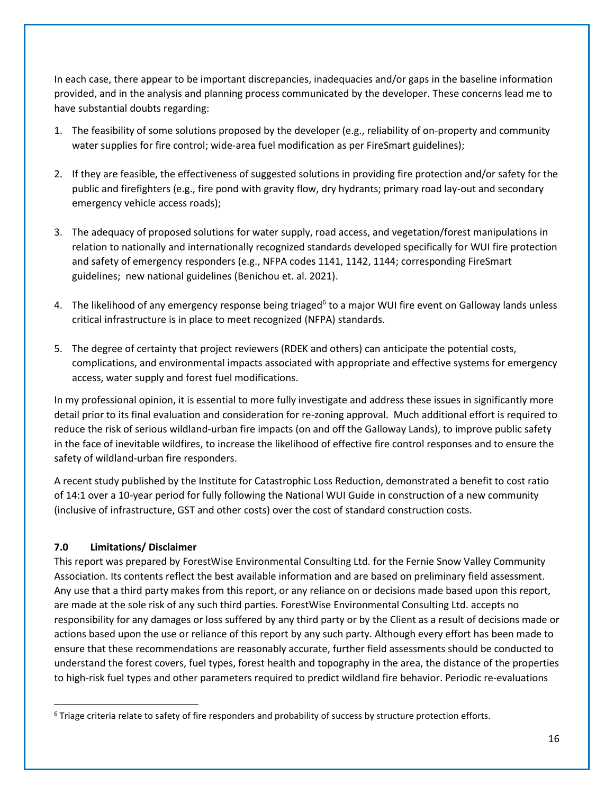In each case, there appear to be important discrepancies, inadequacies and/or gaps in the baseline information provided, and in the analysis and planning process communicated by the developer. These concerns lead me to have substantial doubts regarding:

- 1. The feasibility of some solutions proposed by the developer (e.g., reliability of on-property and community water supplies for fire control; wide-area fuel modification as per FireSmart guidelines);
- 2. If they are feasible, the effectiveness of suggested solutions in providing fire protection and/or safety for the public and firefighters (e.g., fire pond with gravity flow, dry hydrants; primary road lay-out and secondary emergency vehicle access roads);
- 3. The adequacy of proposed solutions for water supply, road access, and vegetation/forest manipulations in relation to nationally and internationally recognized standards developed specifically for WUI fire protection and safety of emergency responders (e.g., NFPA codes 1141, 1142, 1144; corresponding FireSmart guidelines; new national guidelines (Benichou et. al. 2021).
- 4. The likelihood of any emergency response being triaged<sup>6</sup> to a major WUI fire event on Galloway lands unless critical infrastructure is in place to meet recognized (NFPA) standards.
- 5. The degree of certainty that project reviewers (RDEK and others) can anticipate the potential costs, complications, and environmental impacts associated with appropriate and effective systems for emergency access, water supply and forest fuel modifications.

In my professional opinion, it is essential to more fully investigate and address these issues in significantly more detail prior to its final evaluation and consideration for re-zoning approval. Much additional effort is required to reduce the risk of serious wildland-urban fire impacts (on and off the Galloway Lands), to improve public safety in the face of inevitable wildfires, to increase the likelihood of effective fire control responses and to ensure the safety of wildland-urban fire responders.

A recent study published by the Institute for Catastrophic Loss Reduction, demonstrated a benefit to cost ratio of 14:1 over a 10-year period for fully following the National WUI Guide in construction of a new community (inclusive of infrastructure, GST and other costs) over the cost of standard construction costs.

# **7.0 Limitations/ Disclaimer**

This report was prepared by ForestWise Environmental Consulting Ltd. for the Fernie Snow Valley Community Association. Its contents reflect the best available information and are based on preliminary field assessment. Any use that a third party makes from this report, or any reliance on or decisions made based upon this report, are made at the sole risk of any such third parties. ForestWise Environmental Consulting Ltd. accepts no responsibility for any damages or loss suffered by any third party or by the Client as a result of decisions made or actions based upon the use or reliance of this report by any such party. Although every effort has been made to ensure that these recommendations are reasonably accurate, further field assessments should be conducted to understand the forest covers, fuel types, forest health and topography in the area, the distance of the properties to high-risk fuel types and other parameters required to predict wildland fire behavior. Periodic re-evaluations

<sup>&</sup>lt;sup>6</sup> Triage criteria relate to safety of fire responders and probability of success by structure protection efforts.